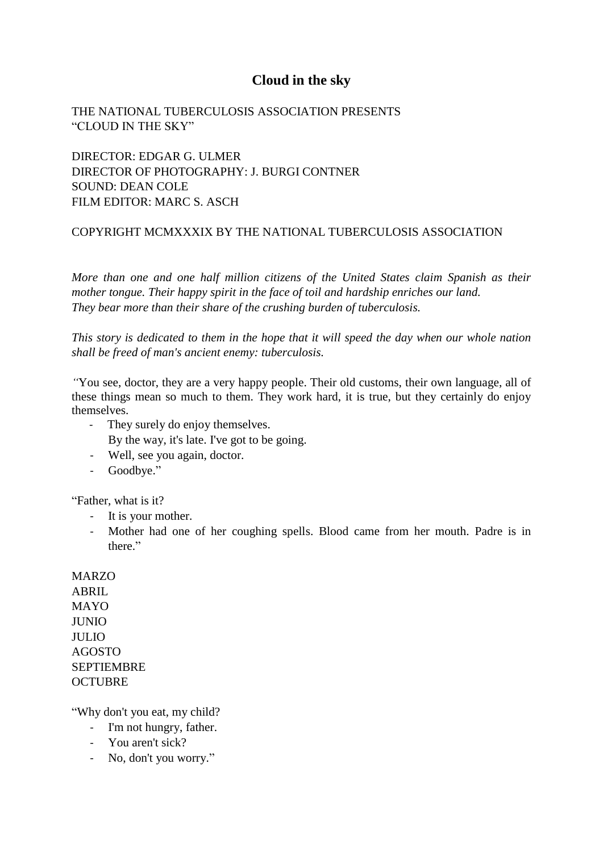## **Cloud in the sky**

## THE NATIONAL TUBERCULOSIS ASSOCIATION PRESENTS "CLOUD IN THE SKY"

DIRECTOR: EDGAR G. ULMER DIRECTOR OF PHOTOGRAPHY: J. BURGI CONTNER SOUND: DEAN COLE FILM EDITOR: MARC S. ASCH

## COPYRIGHT MCMXXXIX BY THE NATIONAL TUBERCULOSIS ASSOCIATION

*More than one and one half million citizens of the United States claim Spanish as their mother tongue. Their happy spirit in the face of toil and hardship enriches our land. They bear more than their share of the crushing burden of tuberculosis.*

*This story is dedicated to them in the hope that it will speed the day when our whole nation shall be freed of man's ancient enemy: tuberculosis.*

*"*You see, doctor, they are a very happy people. Their old customs, their own language, all of these things mean so much to them. They work hard, it is true, but they certainly do enjoy themselves.

- They surely do enjoy themselves. By the way, it's late. I've got to be going.
- Well, see you again, doctor.
- Goodbye."

"Father, what is it?

- It is your mother.
- Mother had one of her coughing spells. Blood came from her mouth. Padre is in there."

MARZO ABRIL MAYO JUNIO JULIO AGOSTO SEPTIEMBRE **OCTUBRE** 

"Why don't you eat, my child?

- I'm not hungry, father.
- You aren't sick?
- No, don't you worry."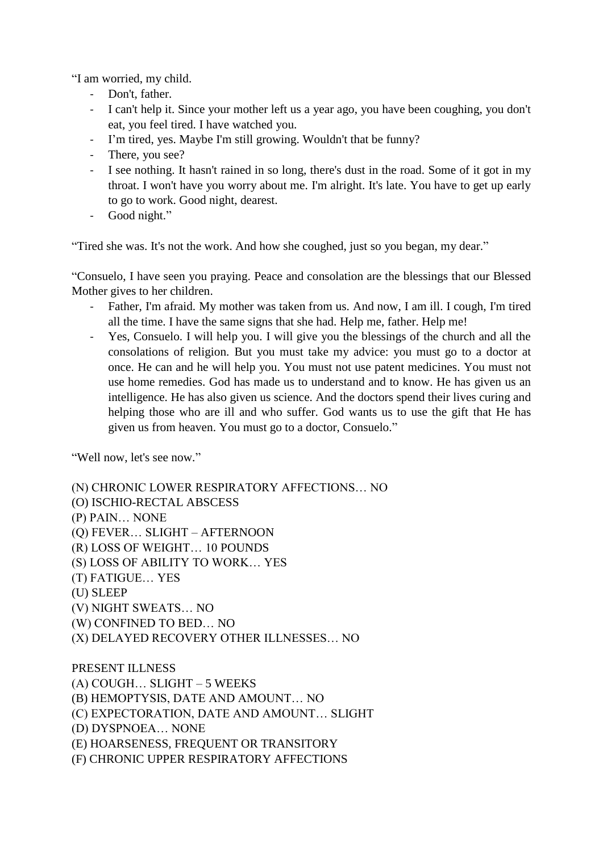"I am worried, my child.

- Don't, father.
- I can't help it. Since your mother left us a year ago, you have been coughing, you don't eat, you feel tired. I have watched you.
- I'm tired, yes. Maybe I'm still growing. Wouldn't that be funny?
- There, you see?
- I see nothing. It hasn't rained in so long, there's dust in the road. Some of it got in my throat. I won't have you worry about me. I'm alright. It's late. You have to get up early to go to work. Good night, dearest.
- Good night."

"Tired she was. It's not the work. And how she coughed, just so you began, my dear."

"Consuelo, I have seen you praying. Peace and consolation are the blessings that our Blessed Mother gives to her children.

- Father, I'm afraid. My mother was taken from us. And now, I am ill. I cough, I'm tired all the time. I have the same signs that she had. Help me, father. Help me!
- Yes, Consuelo. I will help you. I will give you the blessings of the church and all the consolations of religion. But you must take my advice: you must go to a doctor at once. He can and he will help you. You must not use patent medicines. You must not use home remedies. God has made us to understand and to know. He has given us an intelligence. He has also given us science. And the doctors spend their lives curing and helping those who are ill and who suffer. God wants us to use the gift that He has given us from heaven. You must go to a doctor, Consuelo."

"Well now, let's see now."

(N) CHRONIC LOWER RESPIRATORY AFFECTIONS… NO (O) ISCHIO-RECTAL ABSCESS (P) PAIN… NONE (Q) FEVER… SLIGHT – AFTERNOON (R) LOSS OF WEIGHT… 10 POUNDS (S) LOSS OF ABILITY TO WORK… YES (T) FATIGUE… YES (U) SLEEP (V) NIGHT SWEATS… NO (W) CONFINED TO BED… NO (X) DELAYED RECOVERY OTHER ILLNESSES… NO PRESENT ILLNESS (A) COUGH… SLIGHT – 5 WEEKS (B) HEMOPTYSIS, DATE AND AMOUNT… NO (C) EXPECTORATION, DATE AND AMOUNT… SLIGHT (D) DYSPNOEA… NONE (E) HOARSENESS, FREQUENT OR TRANSITORY (F) CHRONIC UPPER RESPIRATORY AFFECTIONS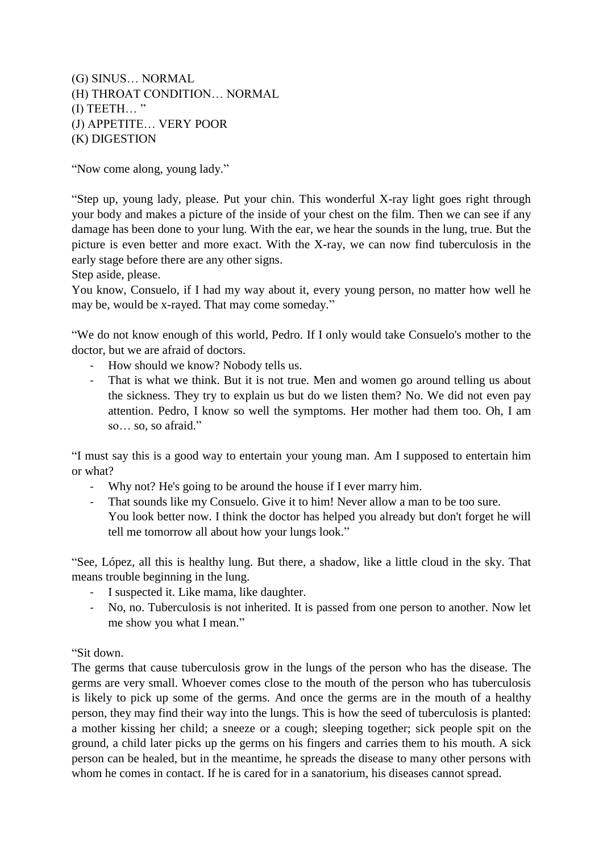(G) SINUS… NORMAL (H) THROAT CONDITION… NORMAL  $(I)$  TEETH $\ldots$ " (J) APPETITE… VERY POOR (K) DIGESTION

"Now come along, young lady."

"Step up, young lady, please. Put your chin. This wonderful X-ray light goes right through your body and makes a picture of the inside of your chest on the film. Then we can see if any damage has been done to your lung. With the ear, we hear the sounds in the lung, true. But the picture is even better and more exact. With the X-ray, we can now find tuberculosis in the early stage before there are any other signs.

Step aside, please.

You know, Consuelo, if I had my way about it, every young person, no matter how well he may be, would be x-rayed. That may come someday."

"We do not know enough of this world, Pedro. If I only would take Consuelo's mother to the doctor, but we are afraid of doctors.

- How should we know? Nobody tells us.
- That is what we think. But it is not true. Men and women go around telling us about the sickness. They try to explain us but do we listen them? No. We did not even pay attention. Pedro, I know so well the symptoms. Her mother had them too. Oh, I am so… so, so afraid."

"I must say this is a good way to entertain your young man. Am I supposed to entertain him or what?

- Why not? He's going to be around the house if I ever marry him.
- That sounds like my Consuelo. Give it to him! Never allow a man to be too sure. You look better now. I think the doctor has helped you already but don't forget he will tell me tomorrow all about how your lungs look."

"See, López, all this is healthy lung. But there, a shadow, like a little cloud in the sky. That means trouble beginning in the lung.

- I suspected it. Like mama, like daughter.
- No, no. Tuberculosis is not inherited. It is passed from one person to another. Now let me show you what I mean."

"Sit down.

The germs that cause tuberculosis grow in the lungs of the person who has the disease. The germs are very small. Whoever comes close to the mouth of the person who has tuberculosis is likely to pick up some of the germs. And once the germs are in the mouth of a healthy person, they may find their way into the lungs. This is how the seed of tuberculosis is planted: a mother kissing her child; a sneeze or a cough; sleeping together; sick people spit on the ground, a child later picks up the germs on his fingers and carries them to his mouth. A sick person can be healed, but in the meantime, he spreads the disease to many other persons with whom he comes in contact. If he is cared for in a sanatorium, his diseases cannot spread.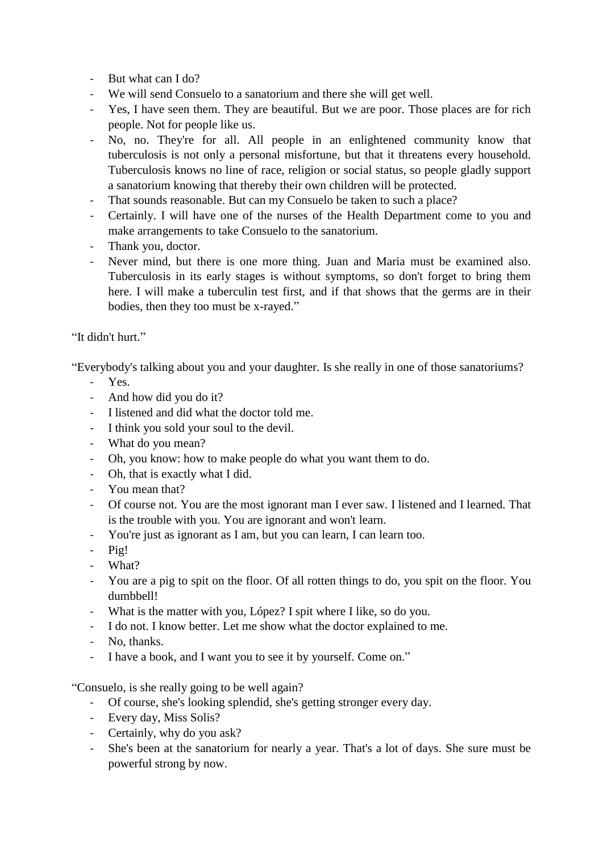- But what can I do?
- We will send Consuelo to a sanatorium and there she will get well.
- Yes, I have seen them. They are beautiful. But we are poor. Those places are for rich people. Not for people like us.
- No, no. They're for all. All people in an enlightened community know that tuberculosis is not only a personal misfortune, but that it threatens every household. Tuberculosis knows no line of race, religion or social status, so people gladly support a sanatorium knowing that thereby their own children will be protected.
- That sounds reasonable. But can my Consuelo be taken to such a place?
- Certainly. I will have one of the nurses of the Health Department come to you and make arrangements to take Consuelo to the sanatorium.
- Thank you, doctor.
- Never mind, but there is one more thing. Juan and Maria must be examined also. Tuberculosis in its early stages is without symptoms, so don't forget to bring them here. I will make a tuberculin test first, and if that shows that the germs are in their bodies, then they too must be x-rayed."

"It didn't hurt."

"Everybody's talking about you and your daughter. Is she really in one of those sanatoriums?

- Yes.
- And how did you do it?
- I listened and did what the doctor told me.
- I think you sold your soul to the devil.
- What do you mean?
- Oh, you know: how to make people do what you want them to do.
- Oh, that is exactly what I did.
- You mean that?
- Of course not. You are the most ignorant man I ever saw. I listened and I learned. That is the trouble with you. You are ignorant and won't learn.
- You're just as ignorant as I am, but you can learn, I can learn too.
- Pig!
- What?
- You are a pig to spit on the floor. Of all rotten things to do, you spit on the floor. You dumbbell!
- What is the matter with you, López? I spit where I like, so do you.
- I do not. I know better. Let me show what the doctor explained to me.
- No, thanks.
- I have a book, and I want you to see it by yourself. Come on."

"Consuelo, is she really going to be well again?

- Of course, she's looking splendid, she's getting stronger every day.
- Every day, Miss Solis?
- Certainly, why do you ask?
- She's been at the sanatorium for nearly a year. That's a lot of days. She sure must be powerful strong by now.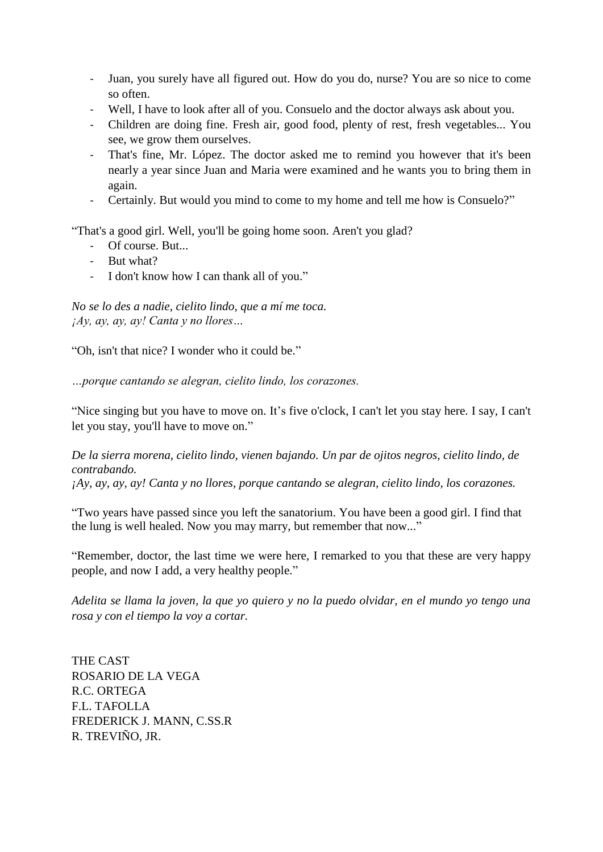- Juan, you surely have all figured out. How do you do, nurse? You are so nice to come so often.
- Well, I have to look after all of you. Consuelo and the doctor always ask about you.
- Children are doing fine. Fresh air, good food, plenty of rest, fresh vegetables... You see, we grow them ourselves.
- That's fine, Mr. López. The doctor asked me to remind you however that it's been nearly a year since Juan and Maria were examined and he wants you to bring them in again.
- Certainly. But would you mind to come to my home and tell me how is Consuelo?"

"That's a good girl. Well, you'll be going home soon. Aren't you glad?

- Of course. But...
- But what?
- I don't know how I can thank all of you."

*No se lo des a nadie, cielito lindo, que a mí me toca. ¡Ay, ay, ay, ay! Canta y no llores…*

"Oh, isn't that nice? I wonder who it could be."

*…porque cantando se alegran, cielito lindo, los corazones.*

"Nice singing but you have to move on. It's five o'clock, I can't let you stay here. I say, I can't let you stay, you'll have to move on."

*De la sierra morena, cielito lindo, vienen bajando. Un par de ojitos negros, cielito lindo, de contrabando. ¡Ay, ay, ay, ay! Canta y no llores, porque cantando se alegran, cielito lindo, los corazones.*

"Two years have passed since you left the sanatorium. You have been a good girl. I find that the lung is well healed. Now you may marry, but remember that now..."

"Remember, doctor, the last time we were here, I remarked to you that these are very happy people, and now I add, a very healthy people."

*Adelita se llama la joven, la que yo quiero y no la puedo olvidar, en el mundo yo tengo una rosa y con el tiempo la voy a cortar.*

THE CAST ROSARIO DE LA VEGA R.C. ORTEGA F.L. TAFOLLA FREDERICK J. MANN, C.SS.R R. TREVIÑO, JR.